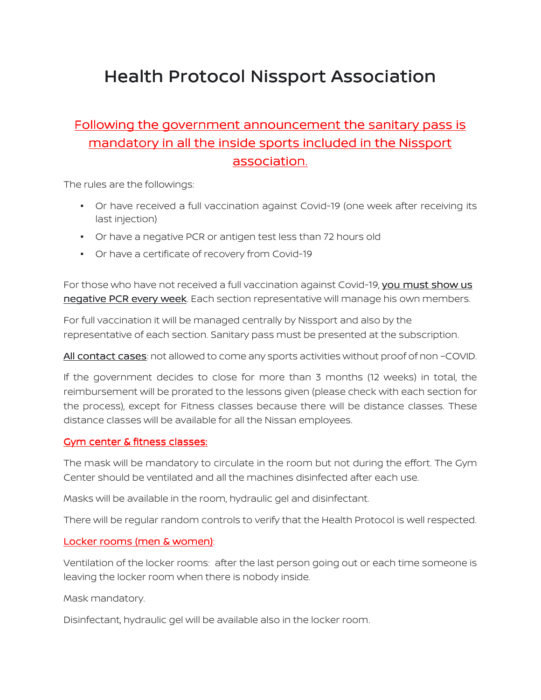# Health Protocol Nissport Association

## Following the government announcement the sanitary pass is mandatory in all the inside sports included in the Nissport association.

The rules are the followings:

- Or have received a full vaccination against Covid-19 (one week after receiving its last injection)
- Or have a negative PCR or antigen test less than 72 hours old
- Or have a certificate of recovery from Covid-19

For those who have not received a full vaccination against Covid-19, you must show us negative PCR every week. Each section representative will manage his own members.

For full vaccination it will be managed centrally by Nissport and also by the representative of each section. Sanitary pass must be presented at the subscription.

All contact cases: not allowed to come any sports activities without proof of non-COVID.

If the government decides to close for more than 3 months (12 weeks) in total, the reimbursement will be prorated to the lessons given (please check with each section for the process), except for Fitness classes because there will be distance classes. These distance classes will be available for all the Nissan employees.

#### Gym center & fitness classes:

The mask will be mandatory to circulate in the room but not during the effort. The Gym Center should be ventilated and all the machines disinfected after each use.

Masks will be available in the room, hydraulic gel and disinfectant.

There will be regular random controls to verify that the Health Protocol is well respected.

#### Locker rooms (men & women):

Ventilation of the locker rooms: after the last person going out or each time someone is leaving the locker room when there is nobody inside.

Mask mandatory.

Disinfectant, hydraulic gel will be available also in the locker room.